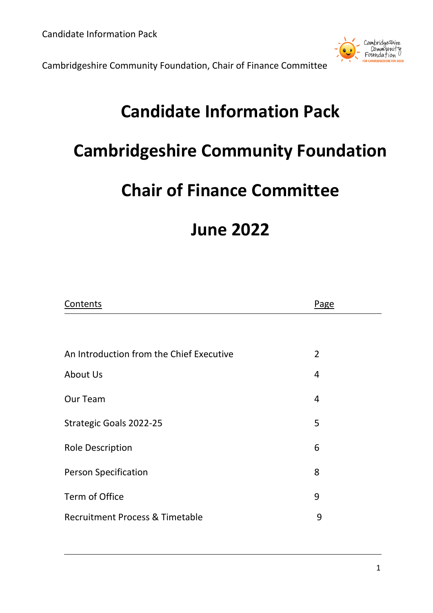

# **Candidate Information Pack**

# **Cambridgeshire Community Foundation**

## **Chair of Finance Committee**

## **June 2022**

| Contents                                 | Page           |
|------------------------------------------|----------------|
|                                          |                |
| An Introduction from the Chief Executive | $\overline{2}$ |
| About Us                                 | $\overline{4}$ |
| Our Team                                 | $\overline{4}$ |
| Strategic Goals 2022-25                  | 5              |
| <b>Role Description</b>                  | 6              |
| <b>Person Specification</b>              | 8              |
| Term of Office                           | 9              |
| Recruitment Process & Timetable          | 9              |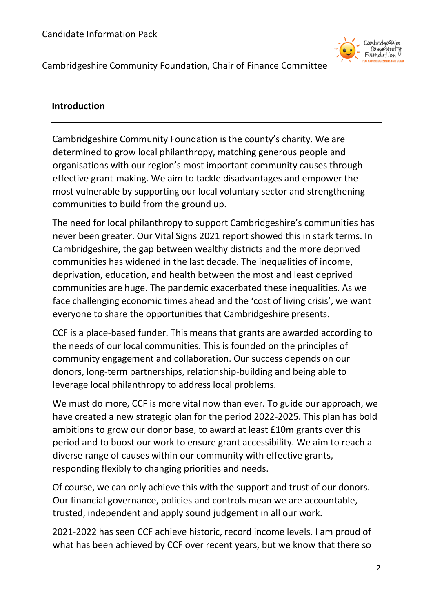

### **Introduction**

Cambridgeshire Community Foundation is the county's charity. We are determined to grow local philanthropy, matching generous people and organisations with our region's most important community causes through effective grant-making. We aim to tackle disadvantages and empower the most vulnerable by supporting our local voluntary sector and strengthening communities to build from the ground up.

The need for local philanthropy to support Cambridgeshire's communities has never been greater. Our Vital Signs 2021 report showed this in stark terms. In Cambridgeshire, the gap between wealthy districts and the more deprived communities has widened in the last decade. The inequalities of income, deprivation, education, and health between the most and least deprived communities are huge. The pandemic exacerbated these inequalities. As we face challenging economic times ahead and the 'cost of living crisis', we want everyone to share the opportunities that Cambridgeshire presents.

CCF is a place-based funder. This means that grants are awarded according to the needs of our local communities. This is founded on the principles of community engagement and collaboration. Our success depends on our donors, long-term partnerships, relationship-building and being able to leverage local philanthropy to address local problems.

We must do more, CCF is more vital now than ever. To guide our approach, we have created a new strategic plan for the period 2022-2025. This plan has bold ambitions to grow our donor base, to award at least £10m grants over this period and to boost our work to ensure grant accessibility. We aim to reach a diverse range of causes within our community with effective grants, responding flexibly to changing priorities and needs.

Of course, we can only achieve this with the support and trust of our donors. Our financial governance, policies and controls mean we are accountable, trusted, independent and apply sound judgement in all our work.

2021-2022 has seen CCF achieve historic, record income levels. I am proud of what has been achieved by CCF over recent years, but we know that there so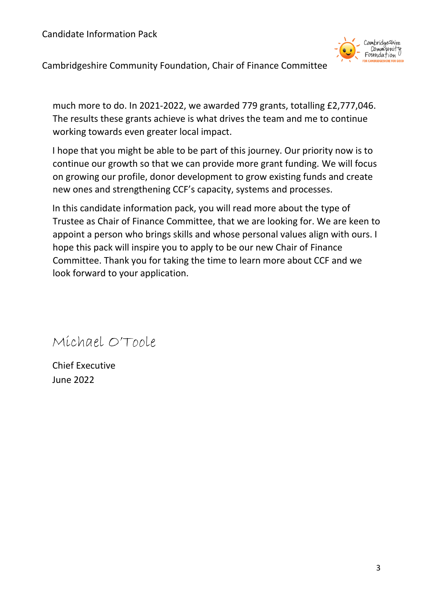Candidate Information Pack



Cambridgeshire Community Foundation, Chair of Finance Committee

much more to do. In 2021-2022, we awarded 779 grants, totalling £2,777,046. The results these grants achieve is what drives the team and me to continue working towards even greater local impact.

I hope that you might be able to be part of this journey. Our priority now is to continue our growth so that we can provide more grant funding. We will focus on growing our profile, donor development to grow existing funds and create new ones and strengthening CCF's capacity, systems and processes.

In this candidate information pack, you will read more about the type of Trustee as Chair of Finance Committee, that we are looking for. We are keen to appoint a person who brings skills and whose personal values align with ours. I hope this pack will inspire you to apply to be our new Chair of Finance Committee. Thank you for taking the time to learn more about CCF and we look forward to your application.

Michael O'Toole

Chief Executive June 2022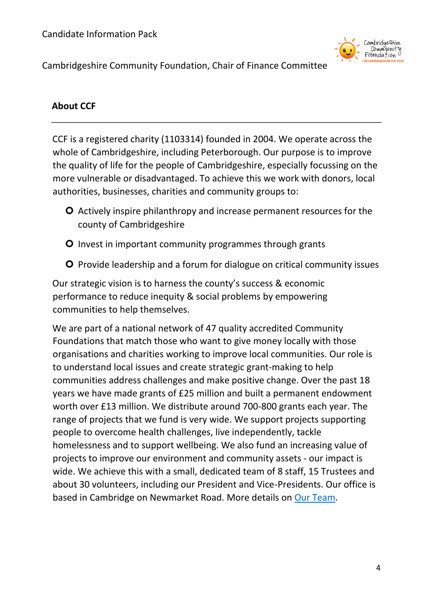

## **About CCF**

CCF is a registered charity (1103314) founded in 2004. We operate across the whole of Cambridgeshire, including Peterborough. Our purpose is to improve the quality of life for the people of Cambridgeshire, especially focussing on the more vulnerable or disadvantaged. To achieve this we work with donors, local authorities, businesses, charities and community groups to:

- Actively inspire philanthropy and increase permanent resources for the county of Cambridgeshire
- **O** Invest in important community programmes through grants
- **O** Provide leadership and a forum for dialogue on critical community issues

Our strategic vision is to harness the county's success & economic performance to reduce inequity & social problems by empowering communities to help themselves.

We are part of a national network of 47 quality accredited Community Foundations that match those who want to give money locally with those organisations and charities working to improve local communities. Our role is to understand local issues and create strategic grant-making to help communities address challenges and make positive change. Over the past 18 years we have made grants of £25 million and built a permanent endowment worth over £13 million. We distribute around 700-800 grants each year. The range of projects that we fund is very wide. We support projects supporting people to overcome health challenges, live independently, tackle homelessness and to support wellbeing. We also fund an increasing value of projects to improve our environment and community assets - our impact is wide. We achieve this with a small, dedicated team of 8 staff, 15 Trustees and about 30 volunteers, including our President and Vice-Presidents. Our office is based in Cambridge on Newmarket Road. More details on [Our Team.](https://www.cambscf.org.uk/our-team)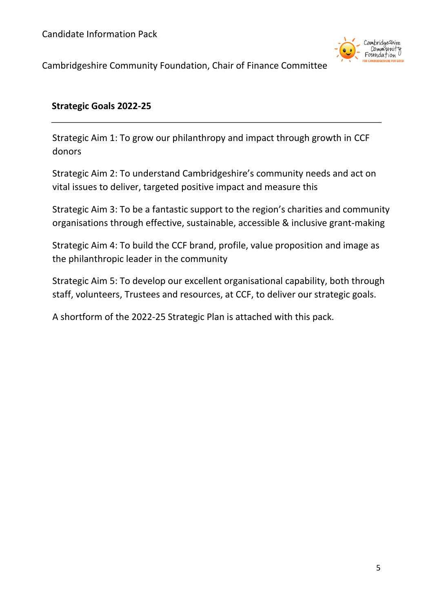Candidate Information Pack



Cambridgeshire Community Foundation, Chair of Finance Committee

#### **Strategic Goals 2022-25**

Strategic Aim 1: To grow our philanthropy and impact through growth in CCF donors

Strategic Aim 2: To understand Cambridgeshire's community needs and act on vital issues to deliver, targeted positive impact and measure this

Strategic Aim 3: To be a fantastic support to the region's charities and community organisations through effective, sustainable, accessible & inclusive grant-making

Strategic Aim 4: To build the CCF brand, profile, value proposition and image as the philanthropic leader in the community

Strategic Aim 5: To develop our excellent organisational capability, both through staff, volunteers, Trustees and resources, at CCF, to deliver our strategic goals.

A shortform of the 2022-25 Strategic Plan is attached with this pack.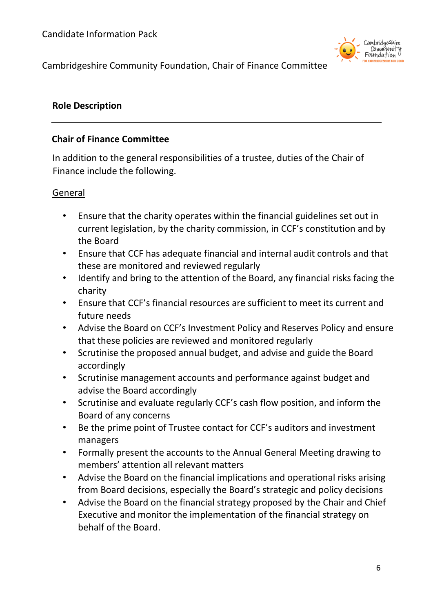

#### **Role Description**

#### **Chair of Finance Committee**

In addition to the general responsibilities of a trustee, duties of the Chair of Finance include the following.

#### General

- Ensure that the charity operates within the financial guidelines set out in current legislation, by the charity commission, in CCF's constitution and by the Board
- Ensure that CCF has adequate financial and internal audit controls and that these are monitored and reviewed regularly
- Identify and bring to the attention of the Board, any financial risks facing the charity
- Ensure that CCF's financial resources are sufficient to meet its current and future needs
- Advise the Board on CCF's Investment Policy and Reserves Policy and ensure that these policies are reviewed and monitored regularly
- Scrutinise the proposed annual budget, and advise and guide the Board accordingly
- Scrutinise management accounts and performance against budget and advise the Board accordingly
- Scrutinise and evaluate regularly CCF's cash flow position, and inform the Board of any concerns
- Be the prime point of Trustee contact for CCF's auditors and investment managers
- Formally present the accounts to the Annual General Meeting drawing to members' attention all relevant matters
- Advise the Board on the financial implications and operational risks arising from Board decisions, especially the Board's strategic and policy decisions
- Advise the Board on the financial strategy proposed by the Chair and Chief Executive and monitor the implementation of the financial strategy on behalf of the Board.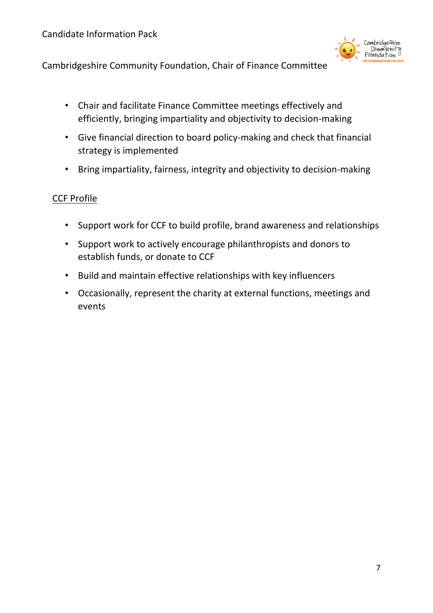

- Chair and facilitate Finance Committee meetings effectively and efficiently, bringing impartiality and objectivity to decision-making
- Give financial direction to board policy-making and check that financial strategy is implemented
- Bring impartiality, fairness, integrity and objectivity to decision-making

## CCF Profile

- Support work for CCF to build profile, brand awareness and relationships
- Support work to actively encourage philanthropists and donors to establish funds, or donate to CCF
- Build and maintain effective relationships with key influencers
- Occasionally, represent the charity at external functions, meetings and events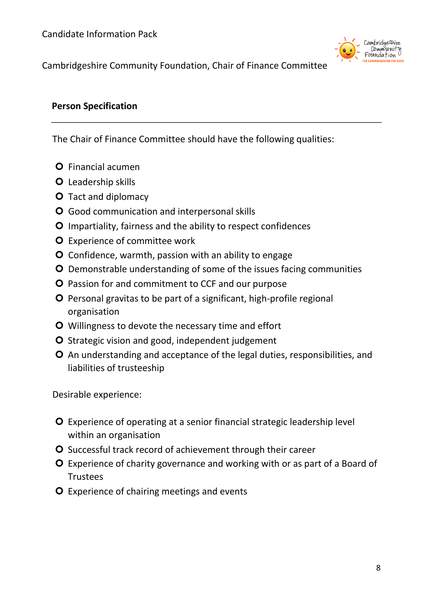

#### **Person Specification**

The Chair of Finance Committee should have the following qualities:

- **O** Financial acumen
- **O** Leadership skills
- **O** Tact and diplomacy
- **O** Good communication and interpersonal skills
- **O** Impartiality, fairness and the ability to respect confidences
- **O** Experience of committee work
- **O** Confidence, warmth, passion with an ability to engage
- Demonstrable understanding of some of the issues facing communities
- **O** Passion for and commitment to CCF and our purpose
- **O** Personal gravitas to be part of a significant, high-profile regional organisation
- O Willingness to devote the necessary time and effort
- O Strategic vision and good, independent judgement
- An understanding and acceptance of the legal duties, responsibilities, and liabilities of trusteeship

Desirable experience:

- Experience of operating at a senior financial strategic leadership level within an organisation
- O Successful track record of achievement through their career
- **O** Experience of charity governance and working with or as part of a Board of Trustees
- **O** Experience of chairing meetings and events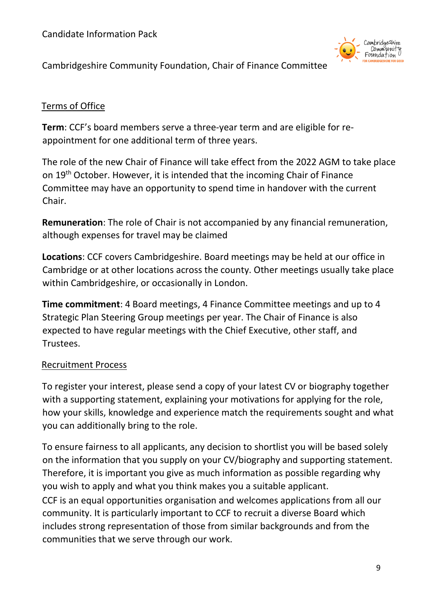Candidate Information Pack



Cambridgeshire Community Foundation, Chair of Finance Committee

### Terms of Office

**Term**: CCF's board members serve a three-year term and are eligible for reappointment for one additional term of three years.

The role of the new Chair of Finance will take effect from the 2022 AGM to take place on 19<sup>th</sup> October. However, it is intended that the incoming Chair of Finance Committee may have an opportunity to spend time in handover with the current Chair.

**Remuneration**: The role of Chair is not accompanied by any financial remuneration, although expenses for travel may be claimed

**Locations**: CCF covers Cambridgeshire. Board meetings may be held at our office in Cambridge or at other locations across the county. Other meetings usually take place within Cambridgeshire, or occasionally in London.

**Time commitment**: 4 Board meetings, 4 Finance Committee meetings and up to 4 Strategic Plan Steering Group meetings per year. The Chair of Finance is also expected to have regular meetings with the Chief Executive, other staff, and Trustees.

### Recruitment Process

To register your interest, please send a copy of your latest CV or biography together with a supporting statement, explaining your motivations for applying for the role, how your skills, knowledge and experience match the requirements sought and what you can additionally bring to the role.

To ensure fairness to all applicants, any decision to shortlist you will be based solely on the information that you supply on your CV/biography and supporting statement. Therefore, it is important you give as much information as possible regarding why you wish to apply and what you think makes you a suitable applicant. CCF is an equal opportunities organisation and welcomes applications from all our community. It is particularly important to CCF to recruit a diverse Board which includes strong representation of those from similar backgrounds and from the communities that we serve through our work.